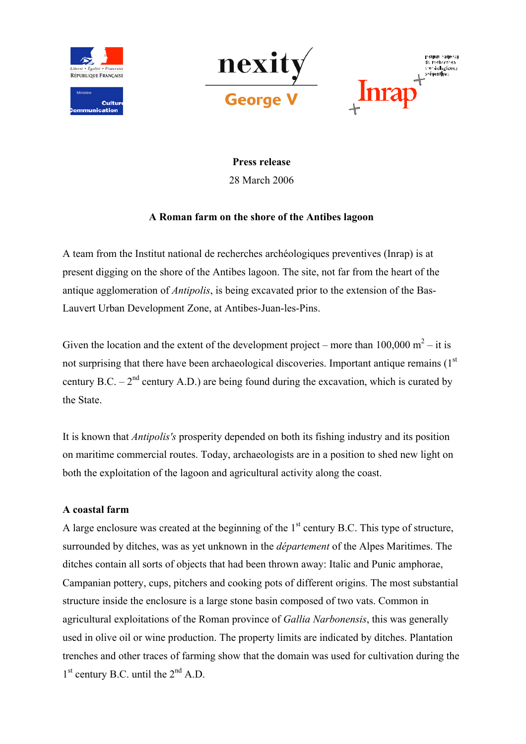







Press release 28 March 2006

# A Roman farm on the shore of the Antibes lagoon

A team from the Institut national de recherches archéologiques preventives (Inrap) is at present digging on the shore of the Antibes lagoon. The site, not far from the heart of the antique agglomeration of *Antipolis*, is being excavated prior to the extension of the Bas-Lauvert Urban Development Zone, at Antibes-Juan-les-Pins.

Given the location and the extent of the development project – more than  $100,000 \text{ m}^2$  – it is not surprising that there have been archaeological discoveries. Important antique remains (1st) century B.C. –  $2<sup>nd</sup>$  century A.D.) are being found during the excavation, which is curated by the State.

It is known that *Antipolis's* prosperity depended on both its fishing industry and its position on maritime commercial routes. Today, archaeologists are in a position to shed new light on both the exploitation of the lagoon and agricultural activity along the coast.

# A coastal farm

A large enclosure was created at the beginning of the  $1<sup>st</sup>$  century B.C. This type of structure, surrounded by ditches, was as yet unknown in the *département* of the Alpes Maritimes. The ditches contain all sorts of objects that had been thrown away: Italic and Punic amphorae, Campanian pottery, cups, pitchers and cooking pots of different origins. The most substantial structure inside the enclosure is a large stone basin composed of two vats. Common in agricultural exploitations of the Roman province of *Gallia Narbonensis*, this was generally used in olive oil or wine production. The property limits are indicated by ditches. Plantation trenches and other traces of farming show that the domain was used for cultivation during the  $1<sup>st</sup>$  century B.C. until the  $2<sup>nd</sup>$  A.D.